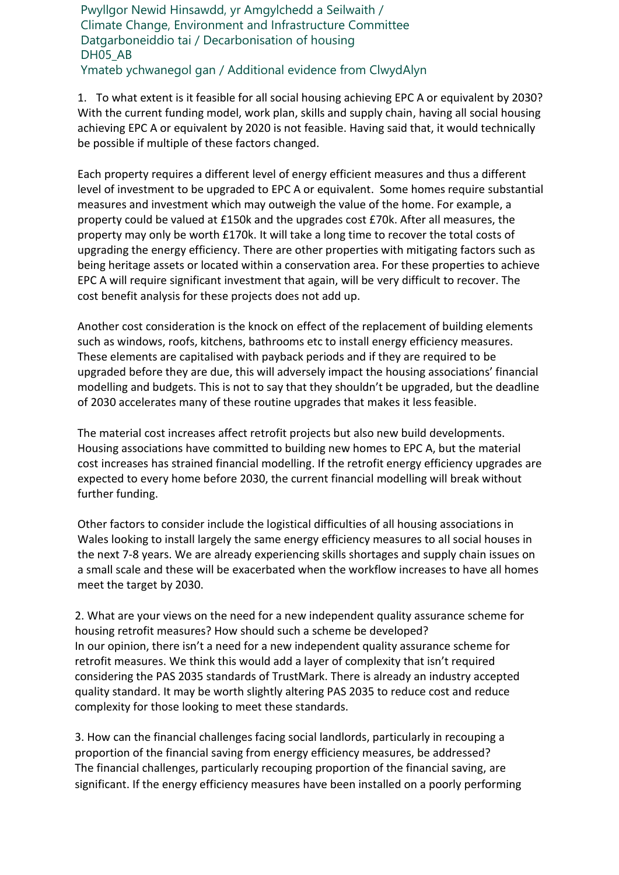Pwyllgor Newid Hinsawdd, yr Amgylchedd a Seilwaith / Climate Change, Environment and Infrastructure Committee Datgarboneiddio tai / Decarbonisation of housing DH05\_AB Ymateb ychwanegol gan / Additional evidence from ClwydAlyn

1. To what extent is it feasible for all social housing achieving EPC A or equivalent by 2030? With the current funding model, work plan, skills and supply chain, having all social housing achieving EPC A or equivalent by 2020 is not feasible. Having said that, it would technically be possible if multiple of these factors changed.

Each property requires a different level of energy efficient measures and thus a different level of investment to be upgraded to EPC A or equivalent. Some homes require substantial measures and investment which may outweigh the value of the home. For example, a property could be valued at £150k and the upgrades cost £70k. After all measures, the property may only be worth £170k. It will take a long time to recover the total costs of upgrading the energy efficiency. There are other properties with mitigating factors such as being heritage assets or located within a conservation area. For these properties to achieve EPC A will require significant investment that again, will be very difficult to recover. The cost benefit analysis for these projects does not add up.

Another cost consideration is the knock on effect of the replacement of building elements such as windows, roofs, kitchens, bathrooms etc to install energy efficiency measures. These elements are capitalised with payback periods and if they are required to be upgraded before they are due, this will adversely impact the housing associations' financial modelling and budgets. This is not to say that they shouldn't be upgraded, but the deadline of 2030 accelerates many of these routine upgrades that makes it less feasible.

The material cost increases affect retrofit projects but also new build developments. Housing associations have committed to building new homes to EPC A, but the material cost increases has strained financial modelling. If the retrofit energy efficiency upgrades are expected to every home before 2030, the current financial modelling will break without further funding.

Other factors to consider include the logistical difficulties of all housing associations in Wales looking to install largely the same energy efficiency measures to all social houses in the next 7-8 years. We are already experiencing skills shortages and supply chain issues on a small scale and these will be exacerbated when the workflow increases to have all homes meet the target by 2030.

2. What are your views on the need for a new independent quality assurance scheme for housing retrofit measures? How should such a scheme be developed? In our opinion, there isn't a need for a new independent quality assurance scheme for retrofit measures. We think this would add a layer of complexity that isn't required considering the PAS 2035 standards of TrustMark. There is already an industry accepted quality standard. It may be worth slightly altering PAS 2035 to reduce cost and reduce complexity for those looking to meet these standards.

3. How can the financial challenges facing social landlords, particularly in recouping a proportion of the financial saving from energy efficiency measures, be addressed? The financial challenges, particularly recouping proportion of the financial saving, are significant. If the energy efficiency measures have been installed on a poorly performing